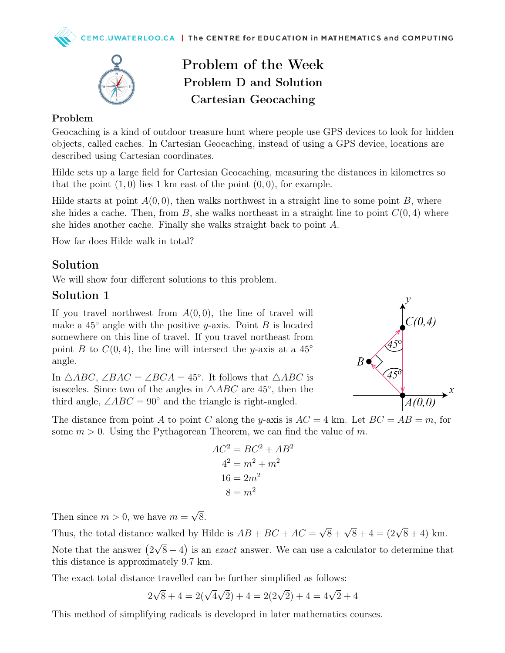

# Problem of the Week Problem D and Solution Cartesian Geocaching

#### Problem

Geocaching is a kind of outdoor treasure hunt where people use GPS devices to look for hidden objects, called caches. In Cartesian Geocaching, instead of using a GPS device, locations are described using Cartesian coordinates.

Hilde sets up a large field for Cartesian Geocaching, measuring the distances in kilometres so that the point  $(1, 0)$  lies 1 km east of the point  $(0, 0)$ , for example.

Hilde starts at point  $A(0,0)$ , then walks northwest in a straight line to some point B, where she hides a cache. Then, from B, she walks northeast in a straight line to point  $C(0, 4)$  where she hides another cache. Finally she walks straight back to point A.

How far does Hilde walk in total?

### Solution

We will show four different solutions to this problem.

#### Solution 1

If you travel northwest from  $A(0,0)$ , the line of travel will make a  $45^\circ$  angle with the positive y-axis. Point B is located somewhere on this line of travel. If you travel northeast from point B to  $C(0, 4)$ , the line will intersect the y-axis at a 45<sup>°</sup> angle.

In  $\triangle ABC$ ,  $\angle BAC = \angle BCA = 45^{\circ}$ . It follows that  $\triangle ABC$  is isosceles. Since two of the angles in  $\triangle ABC$  are 45°, then the third angle,  $\angle ABC = 90^\circ$  and the triangle is right-angled.



The distance from point A to point C along the y-axis is  $AC = 4$  km. Let  $BC = AB = m$ , for some  $m > 0$ . Using the Pythagorean Theorem, we can find the value of m.

$$
AC2 = BC2 + AB2
$$

$$
42 = m2 + m2
$$

$$
16 = 2m2
$$

$$
8 = m2
$$

Then since  $m > 0$ , we have  $m =$ √ 8.

Thus, the total distance walked by Hilde is  $AB + BC + AC =$  $\sqrt{8} + \sqrt{8} + 4 = (2\sqrt{8} + 4)$  km.

Note that the answer  $(2)$ √  $\sqrt{8}+4$ ) is an *exact* answer. We can use a calculator to determine that this distance is approximately 9.7 km.

The exact total distance travelled can be further simplified as follows:

$$
2\sqrt{8} + 4 = 2(\sqrt{4}\sqrt{2}) + 4 = 2(2\sqrt{2}) + 4 = 4\sqrt{2} + 4
$$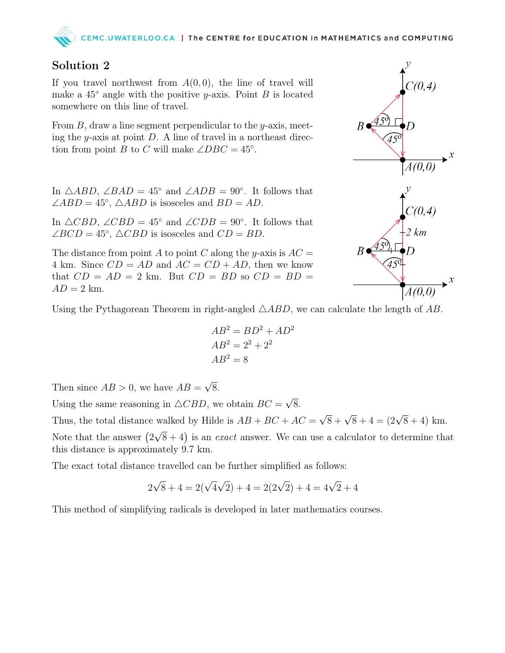# CEMC.UWATERLOO.CA | The CENTRE for EDUCATION in MATHEMATICS and COMPUTING

## Solution 2

If you travel northwest from  $A(0,0)$ , the line of travel will make a  $45^\circ$  angle with the positive y-axis. Point B is located somewhere on this line of travel.

From  $B$ , draw a line segment perpendicular to the y-axis, meeting the  $y$ -axis at point  $D$ . A line of travel in a northeast direction from point B to C will make  $\angle DBC = 45^\circ$ .

In  $\triangle ABD$ ,  $\angle BAD = 45^\circ$  and  $\angle ADB = 90^\circ$ . It follows that  $\angle ABD = 45^\circ$ ,  $\triangle ABD$  is isosceles and  $BD = AD$ .

In  $\triangle CBD$ ,  $\angle CBD = 45^\circ$  and  $\angle CDB = 90^\circ$ . It follows that  $\angle BCD = 45^\circ$ ,  $\triangle CBD$  is isosceles and  $CD = BD$ .

The distance from point A to point C along the y-axis is  $AC =$ 4 km. Since  $CD = AD$  and  $AC = CD + AD$ , then we know that  $CD = AD = 2$  km. But  $CD = BD$  so  $CD = BD =$  $AD = 2$  km.



Using the Pythagorean Theorem in right-angled  $\triangle ABD$ , we can calculate the length of AB.

$$
AB2 = BD2 + AD2
$$

$$
AB2 = 22 + 22
$$

$$
AB2 = 8
$$

Then since  $AB > 0$ , we have  $AB =$ √ 8.

Using the same reasoning in  $\triangle CBD$ , we obtain  $BC =$ √ 8.

Thus, the total distance walked by Hilde is  $AB + BC + AC =$  $\sqrt{8} + \sqrt{8} + 4 = (2\sqrt{8} + 4)$  km.

Note that the answer  $(2)$ √  $\sqrt{8}+4$ ) is an *exact* answer. We can use a calculator to determine that this distance is approximately 9.7 km.

The exact total distance travelled can be further simplified as follows:

$$
2\sqrt{8} + 4 = 2(\sqrt{4}\sqrt{2}) + 4 = 2(2\sqrt{2}) + 4 = 4\sqrt{2} + 4
$$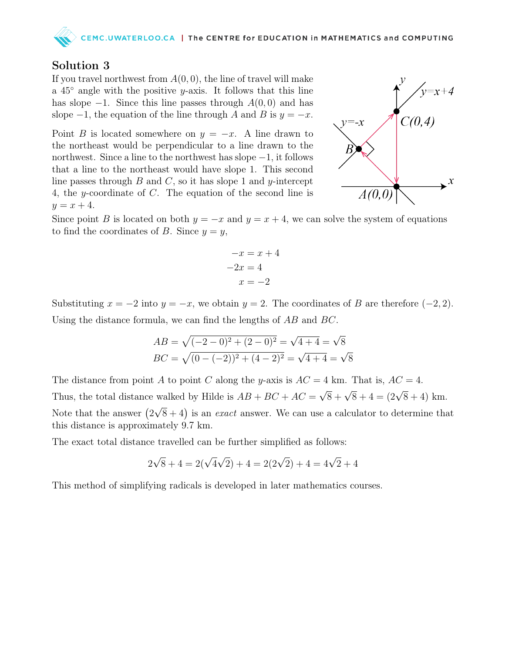## Solution 3

If you travel northwest from  $A(0,0)$ , the line of travel will make a  $45^\circ$  angle with the positive y-axis. It follows that this line has slope  $-1$ . Since this line passes through  $A(0,0)$  and has slope  $-1$ , the equation of the line through A and B is  $y = -x$ .

Point B is located somewhere on  $y = -x$ . A line drawn to the northeast would be perpendicular to a line drawn to the northwest. Since a line to the northwest has slope −1, it follows that a line to the northeast would have slope 1. This second line passes through  $B$  and  $C$ , so it has slope 1 and y-intercept 4, the y-coordinate of C. The equation of the second line is  $y = x + 4.$ 



Since point B is located on both  $y = -x$  and  $y = x + 4$ , we can solve the system of equations to find the coordinates of B. Since  $y = y$ ,

$$
-x = x + 4
$$

$$
-2x = 4
$$

$$
x = -2
$$

Substituting  $x = -2$  into  $y = -x$ , we obtain  $y = 2$ . The coordinates of B are therefore (-2, 2). Using the distance formula, we can find the lengths of AB and BC.

$$
AB = \sqrt{(-2 - 0)^2 + (2 - 0)^2} = \sqrt{4 + 4} = \sqrt{8}
$$
  
BC =  $\sqrt{(0 - (-2))^2 + (4 - 2)^2} = \sqrt{4 + 4} = \sqrt{8}$ 

The distance from point A to point C along the y-axis is  $AC = 4$  km. That is,  $AC = 4$ . Thus, the total distance walked by Hilde is  $AB + BC + AC =$  $\sqrt{8} + \sqrt{8} + 4 = (2\sqrt{8} + 4)$  km. Note that the answer  $(2)$ √  $\sqrt{8}+4$ ) is an *exact* answer. We can use a calculator to determine that this distance is approximately 9.7 km.

The exact total distance travelled can be further simplified as follows:

$$
2\sqrt{8} + 4 = 2(\sqrt{4}\sqrt{2}) + 4 = 2(2\sqrt{2}) + 4 = 4\sqrt{2} + 4
$$